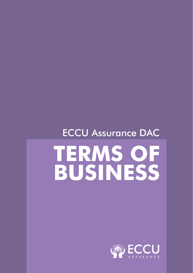# ECCU Assurance DAC **TERMS OF BUSINESS**

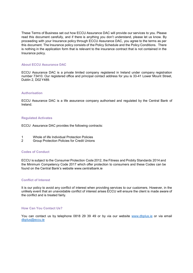These Terms of Business set out how ECCU Assurance DAC will provide our services to you. Please read this document carefully, and if there is anything you don't understand, please let us know. By proceeding with your Insurance policy through ECCU Assurance DAC, you agree to the terms as per this document. The Insurance policy consists of the Policy Schedule and the Policy Conditions. There is nothing in the application form that is relevant to the insurance contract that is not contained in the Insurance policy.

#### **About ECCU Assurance DAC**

ECCU Assurance DAC is a private limited company registered in Ireland under company registration number 73410. Our registered office and principal contact address for you is 33-41 Lower Mount Street, Dublin 2, D02Y489.

# **Authorisation**

ECCU Assurance DAC is a life assurance company authorised and regulated by the Central Bank of Ireland.

#### **Regulated Activates**

ECCU Assurance DAC provides the following contracts:

- 1 Whole of life Individual Protection Policies
- 2 Group Protection Policies for Credit Unions

#### **Codes of Conduct**

ECCU is subject to the Consumer Protection Code 2012, the Fitness and Probity Standards 2014 and the Minimum Competency Code 2017 which offer protection to consumers and these Codes can be found on the Central Bank's website www.centralbank.ie

## **Conflict of Interest**

It is our policy to avoid any conflict of interest when providing services to our customers. However, in the unlikely event that an unavoidable conflict of interest arises ECCU will ensure the client is made aware of the conflict and is treated fairly.

## **How Can You Contact Us?**

You can contact us by telephone 0818 29 39 49 or by via our website www.dbplus.ie or via email dbplus@eccu.ie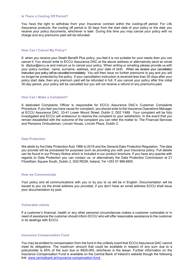#### **Is There a Cooling Off Period?**

You have the right to withdraw from your Insurance contract within the cooling-off period. For Life Assurance products, the cooling off period is 30 days from the start date of your policy or the date you receive your policy documents, whichever is later. During this time you may cancel your policy with no charge and any premiums paid will be refunded.

#### **How Can I Cancel My Policy?**

If, when you receive your Death Benefit Plus policy, you feel it is not suitable for your needs then you can cancel it. You should write to ECCU Assurance DAC at the above address or alternatively send an email to dbplus@eccu.ie and instruct us to cancel your policy. When writing or emailing please provide us with your policy number, name, surname, address, and your date of birth. When we receive your cancellation instruction your policy will be cancelled immediately. You will then have no further premiums to pay and you will no longer be protected by the policy. If your cancellation instruction is received less than 30 days after your policy start date, then any premium paid will be refunded in full. If you cancel your policy after this initial 30-day period, your policy will be cancelled but you will not receive a refund of any premiums paid.

#### **How Can I Make a Complaint?**

A dedicated Complaints Officer is responsible for ECCU Assurance DAC's Customer Complaints Procedure. If you feel you have cause for complaint, you should write to the Insurance Operations Manager at ECCU Assurance DAC, 33-41 Lower Mount Street, Dublin 2, D02 Y489. Your complaint will be fully investigated and ECCU will endeavour to resolve the complaint to your satisfaction. In the event that you remain dissatisfied with the outcome of the complaint you can refer the matter to: The Financial Services and Pensions Ombudsman, Lincoln House, Lincoln Place, Dublin 2.

## **Data Protection**

We abide by the Data Protection Acts 1988 to 2018 and the General Data Protection Regulation. The data you provide will be processed for purposes such as providing you with your Insurance policy. Full details can be found in our Privacy Notice which is included in our product brochure. If you have any queries with regards to Data Protection you can contact us, or alternatively the Data Protection Commission at 21 Fitzwilliam Square South, Dublin 2, D02 RD28, Ireland, Tel +353 57 868 4800.

## **How we Communicate**

Your policy and all communications with you or by you to us will be in English. Documentation will be issued to you via the email address you provided, if you don't have an email address ECCU shall issue your documentation by post.

#### **Vulnerable clients**

If a customer's financial, health or any other personal circumstances makes a customer vulnerable or in need of assistance the customer should inform ECCU who will offer reasonable assistance to the customer in its dealings with ECCU.

### **Insurance Compensation Fund**

You may be entitled to compensation from the fund in the unlikely event that ECCU Assurance DAC cannot meet its obligations. The maximum amount that could be available in respect of any sum due to a policyholder is 65% of the sum due or €825,000, whichever is the lesser. Further information on the Insurance Compensation Fund is available on the Central Bank of Ireland's website though the following link: www.centralbank.ie/insurance-compensation-fund .